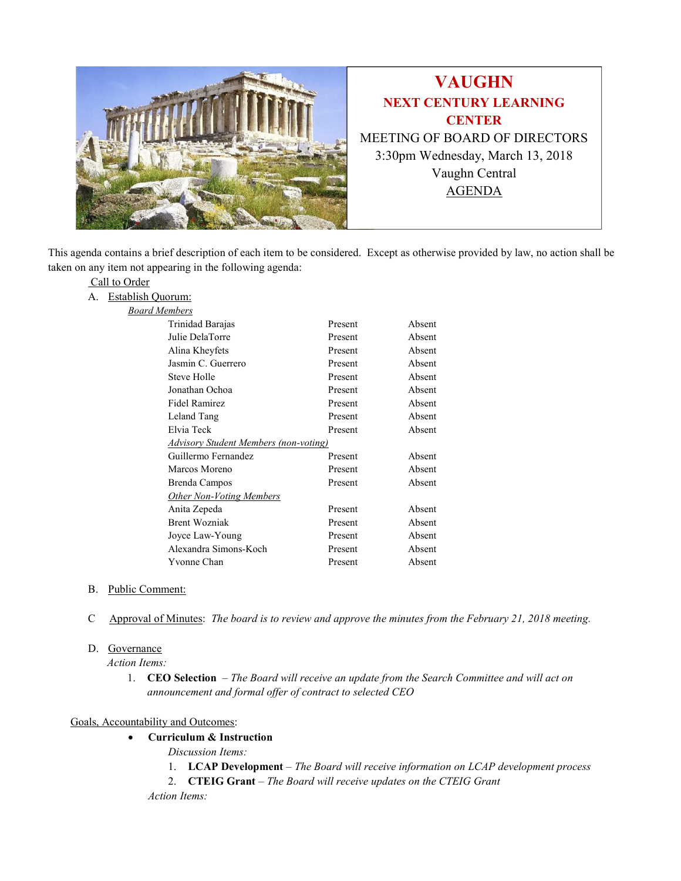

This agenda contains a brief description of each item to be considered. Except as otherwise provided by law, no action shall be taken on any item not appearing in the following agenda:

### Call to Order

A. Establish Quorum:

| <b>Board Members</b> |
|----------------------|
|----------------------|

| Trinidad Barajas                      | Present | Absent |  |
|---------------------------------------|---------|--------|--|
| Julie DelaTorre                       | Present | Absent |  |
| Alina Kheyfets                        | Present | Absent |  |
| Jasmin C. Guerrero                    | Present | Absent |  |
| Steve Holle                           | Present | Absent |  |
| Jonathan Ochoa                        | Present | Absent |  |
| Fidel Ramirez                         | Present | Absent |  |
| Leland Tang                           | Present | Absent |  |
| Elvia Teck                            | Present | Absent |  |
| Advisory Student Members (non-voting) |         |        |  |
| Guillermo Fernandez                   | Present | Absent |  |
| Marcos Moreno                         | Present | Absent |  |
| Brenda Campos                         | Present | Absent |  |
| <b>Other Non-Voting Members</b>       |         |        |  |
| Anita Zepeda                          | Present | Absent |  |
| <b>Brent Wozniak</b>                  | Present | Absent |  |
| Joyce Law-Young                       | Present | Absent |  |
| Alexandra Simons-Koch                 | Present | Absent |  |
| Yvonne Chan                           | Present | Absent |  |

### B. Public Comment:

C Approval of Minutes: The board is to review and approve the minutes from the February 21, 2018 meeting.

## D. Governance

Action Items:

1. CEO Selection - The Board will receive an update from the Search Committee and will act on announcement and formal offer of contract to selected CEO

### Goals, Accountability and Outcomes:

- Curriculum & Instruction
	- Discussion Items:
		- 1. LCAP Development The Board will receive information on LCAP development process
		- 2. CTEIG Grant The Board will receive updates on the CTEIG Grant
	- Action Items: